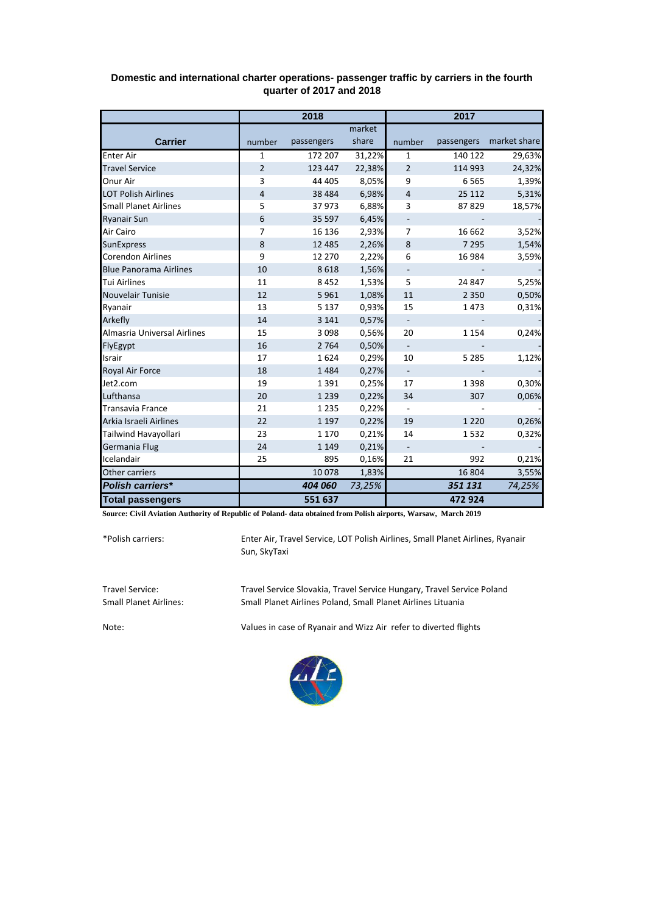|                               | 2018           |            |        | 2017                     |         |                         |
|-------------------------------|----------------|------------|--------|--------------------------|---------|-------------------------|
|                               |                |            | market |                          |         |                         |
| <b>Carrier</b>                | number         | passengers | share  | number                   |         | passengers market share |
| <b>Enter Air</b>              | $\mathbf{1}$   | 172 207    | 31,22% | $\mathbf{1}$             | 140 122 | 29,63%                  |
| <b>Travel Service</b>         | $\overline{2}$ | 123 447    | 22,38% | $\overline{2}$           | 114 993 | 24,32%                  |
| Onur Air                      | 3              | 44 405     | 8,05%  | 9                        | 6 5 6 5 | 1,39%                   |
| <b>LOT Polish Airlines</b>    | $\overline{4}$ | 38 4 84    | 6,98%  | $\overline{4}$           | 25 112  | 5,31%                   |
| <b>Small Planet Airlines</b>  | 5              | 37973      | 6,88%  | 3                        | 87829   | 18,57%                  |
| <b>Ryanair Sun</b>            | 6              | 35 597     | 6,45%  |                          |         |                         |
| Air Cairo                     | $\overline{7}$ | 16 13 6    | 2,93%  | $\overline{7}$           | 16 662  | 3,52%                   |
| <b>SunExpress</b>             | 8              | 12 4 8 5   | 2,26%  | $\bf 8$                  | 7 2 9 5 | 1,54%                   |
| <b>Corendon Airlines</b>      | 9              | 12 270     | 2,22%  | 6                        | 16 984  | 3,59%                   |
| <b>Blue Panorama Airlines</b> | 10             | 8618       | 1,56%  | $\overline{\phantom{a}}$ |         |                         |
| <b>Tui Airlines</b>           | 11             | 8452       | 1,53%  | 5                        | 24 847  | 5,25%                   |
| <b>Nouvelair Tunisie</b>      | 12             | 5961       | 1,08%  | 11                       | 2 3 5 0 | 0,50%                   |
| Ryanair                       | 13             | 5 1 3 7    | 0,93%  | 15                       | 1473    | 0,31%                   |
| Arkefly                       | 14             | 3 1 4 1    | 0,57%  | $\blacksquare$           |         |                         |
| Almasria Universal Airlines   | 15             | 3098       | 0,56%  | 20                       | 1 1 5 4 | 0,24%                   |
| FlyEgypt                      | 16             | 2 7 6 4    | 0,50%  | $\overline{\phantom{a}}$ |         |                         |
| Israir                        | 17             | 1624       | 0,29%  | 10                       | 5 2 8 5 | 1,12%                   |
| Royal Air Force               | 18             | 1484       | 0,27%  | $\overline{\phantom{a}}$ |         |                         |
| Jet2.com                      | 19             | 1391       | 0,25%  | 17                       | 1 3 9 8 | 0,30%                   |
| Lufthansa                     | 20             | 1 2 3 9    | 0,22%  | 34                       | 307     | 0,06%                   |
| <b>Transavia France</b>       | 21             | 1 2 3 5    | 0,22%  | $\overline{\phantom{a}}$ |         |                         |
| Arkia Israeli Airlines        | 22             | 1 1 9 7    | 0,22%  | 19                       | 1 2 2 0 | 0,26%                   |
| Tailwind Havayollari          | 23             | 1 1 7 0    | 0,21%  | 14                       | 1532    | 0,32%                   |
| Germania Flug                 | 24             | 1 1 4 9    | 0,21%  | $\blacksquare$           |         |                         |
| Icelandair                    | 25             | 895        | 0,16%  | 21                       | 992     | 0,21%                   |
| Other carriers                |                | 10078      | 1,83%  |                          | 16 804  | 3,55%                   |
| <b>Polish carriers*</b>       |                | 404 060    | 73,25% |                          | 351 131 | 74,25%                  |
| <b>Total passengers</b>       |                | 551 637    |        |                          | 472 924 |                         |

## **Domestic and international charter operations- passenger traffic by carriers in the fourth quarter of 2017 and 2018**

**Source: Civil Aviation Authority of Republic of Poland- data obtained from Polish airports, Warsaw, March 2019**

\*Polish carriers:

Enter Air, Travel Service, LOT Polish Airlines, Small Planet Airlines, Ryanair Sun, SkyTaxi

Travel Service: Travel Service Slovakia, Travel Service Hungary, Travel Service Poland Small Planet Airlines Poland, Small Planet Airlines Lituania

Note: Values in case of Ryanair and Wizz Air refer to diverted flights